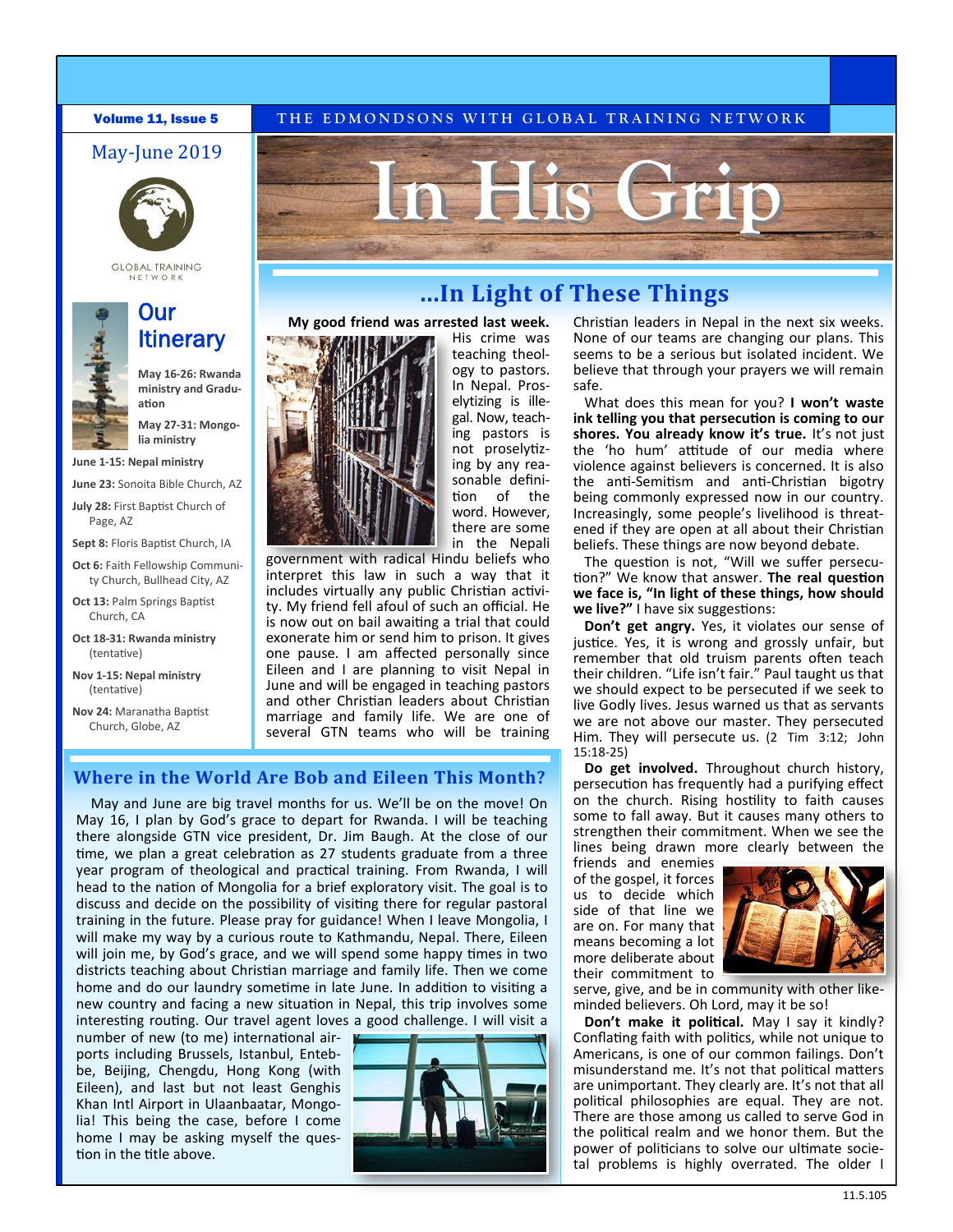### May-June 2019



**GLOBAL TRAINING** 

## Our **Itinerary**

**May 16-26: Rwanda ministry and Graduation**

**May 27-31: Mongolia ministry**

**June 1-15: Nepal ministry**

**June 23:** Sonoita Bible Church, AZ

**July 28:** First Baptist Church of Page, AZ

**Sept 8:** Floris Baptist Church, IA

- **Oct 6:** Faith Fellowship Community Church, Bullhead City, AZ
- **Oct 13:** Palm Springs Baptist Church, CA
- **Oct 18-31: Rwanda ministry**  (tentative)
- **Nov 1-15: Nepal ministry**  (tentative)

**Nov 24:** Maranatha Baptist Church, Globe, AZ

### **Volume 11, Issue 5** THE EDMONDSONS WITH GLOBAL TRAINING NETWORK



teaching theology to pastors. In Nepal. Proselytizing is illegal. Now, teaching pastors is not proselytizing by any reasonable definition of the word. However, there are some in the Nepali

His crime was

government with radical Hindu beliefs who interpret this law in such a way that it includes virtually any public Christian activity. My friend fell afoul of such an official. He is now out on bail awaiting a trial that could exonerate him or send him to prison. It gives one pause. I am affected personally since Eileen and I are planning to visit Nepal in June and will be engaged in teaching pastors and other Christian leaders about Christian marriage and family life. We are one of several GTN teams who will be training

**My good friend was arrested last week.**

### **Where in the World Are Bob and Eileen This Month?**

May and June are big travel months for us. We'll be on the move! On May 16, I plan by God's grace to depart for Rwanda. I will be teaching there alongside GTN vice president, Dr. Jim Baugh. At the close of our time, we plan a great celebration as 27 students graduate from a three year program of theological and practical training. From Rwanda, I will head to the nation of Mongolia for a brief exploratory visit. The goal is to discuss and decide on the possibility of visiting there for regular pastoral training in the future. Please pray for guidance! When I leave Mongolia, I will make my way by a curious route to Kathmandu, Nepal. There, Eileen will join me, by God's grace, and we will spend some happy times in two districts teaching about Christian marriage and family life. Then we come home and do our laundry sometime in late June. In addition to visiting a new country and facing a new situation in Nepal, this trip involves some interesting routing. Our travel agent loves a good challenge. I will visit a

number of new (to me) international airports including Brussels, Istanbul, Entebbe, Beijing, Chengdu, Hong Kong (with Eileen), and last but not least Genghis Khan Intl Airport in Ulaanbaatar, Mongolia! This being the case, before I come home I may be asking myself the question in the title above.



# **...In Light of These Things**

Christian leaders in Nepal in the next six weeks. None of our teams are changing our plans. This seems to be a serious but isolated incident. We believe that through your prayers we will remain safe.

What does this mean for you? **I won't waste ink telling you that persecution is coming to our shores. You already know it's true.** It's not just the 'ho hum' attitude of our media where violence against believers is concerned. It is also the anti-Semitism and anti-Christian bigotry being commonly expressed now in our country. Increasingly, some people's livelihood is threatened if they are open at all about their Christian beliefs. These things are now beyond debate.

The question is not, "Will we suffer persecution?" We know that answer. **The real question we face is, "In light of these things, how should we live?"** I have six suggestions:

**Don't get angry.** Yes, it violates our sense of justice. Yes, it is wrong and grossly unfair, but remember that old truism parents often teach their children. "Life isn't fair." Paul taught us that we should expect to be persecuted if we seek to live Godly lives. Jesus warned us that as servants we are not above our master. They persecuted Him. They will persecute us. (2 Tim 3:12; John 15:18-25)

**Do get involved.** Throughout church history, persecution has frequently had a purifying effect on the church. Rising hostility to faith causes some to fall away. But it causes many others to strengthen their commitment. When we see the lines being drawn more clearly between the

friends and enemies of the gospel, it forces us to decide which side of that line we are on. For many that means becoming a lot more deliberate about their commitment to



serve, give, and be in community with other likeminded believers. Oh Lord, may it be so!

**Don't make it political.** May I say it kindly? Conflating faith with politics, while not unique to Americans, is one of our common failings. Don't misunderstand me. It's not that political matters are unimportant. They clearly are. It's not that all political philosophies are equal. They are not. There are those among us called to serve God in the political realm and we honor them. But the power of politicians to solve our ultimate societal problems is highly overrated. The older I